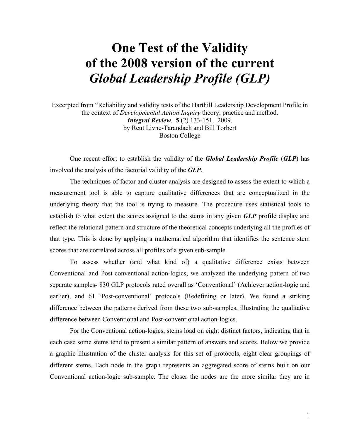## **One Test of the Validity of the 2008 version of the current**  *Global Leadership Profile (GLP)*

Excerpted from "Reliability and validity tests of the Harthill Leadership Development Profile in the context of *Developmental Action Inquiry* theory, practice and method. *Integral Review*. **5** (2) 133-151. 2009. by Reut Livne-Tarandach and Bill Torbert Boston College

One recent effort to establish the validity of the *Global Leadership Profile* (*GLP*) has involved the analysis of the factorial validity of the *GLP*.

The techniques of factor and cluster analysis are designed to assess the extent to which a measurement tool is able to capture qualitative differences that are conceptualized in the underlying theory that the tool is trying to measure. The procedure uses statistical tools to establish to what extent the scores assigned to the stems in any given *GLP* profile display and reflect the relational pattern and structure of the theoretical concepts underlying all the profiles of that type. This is done by applying a mathematical algorithm that identifies the sentence stem scores that are correlated across all profiles of a given sub-sample.

To assess whether (and what kind of) a qualitative difference exists between Conventional and Post-conventional action-logics, we analyzed the underlying pattern of two separate samples- 830 GLP protocols rated overall as 'Conventional' (Achiever action-logic and earlier), and 61 'Post-conventional' protocols (Redefining or later). We found a striking difference between the patterns derived from these two sub-samples, illustrating the qualitative difference between Conventional and Post-conventional action-logics.

For the Conventional action-logics, stems load on eight distinct factors, indicating that in each case some stems tend to present a similar pattern of answers and scores. Below we provide a graphic illustration of the cluster analysis for this set of protocols, eight clear groupings of different stems. Each node in the graph represents an aggregated score of stems built on our Conventional action-logic sub-sample. The closer the nodes are the more similar they are in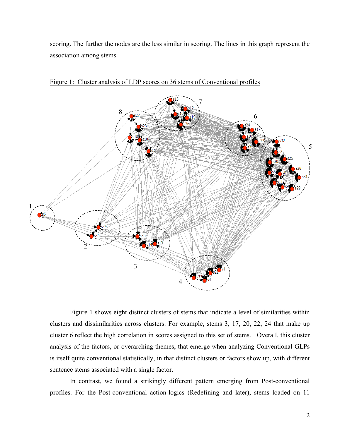scoring. The further the nodes are the less similar in scoring. The lines in this graph represent the association among stems.



Figure 1: Cluster analysis of LDP scores on 36 stems of Conventional profiles

Figure 1 shows eight distinct clusters of stems that indicate a level of similarities within clusters and dissimilarities across clusters. For example, stems 3, 17, 20, 22, 24 that make up cluster 6 reflect the high correlation in scores assigned to this set of stems. Overall, this cluster analysis of the factors, or overarching themes, that emerge when analyzing Conventional GLPs is itself quite conventional statistically, in that distinct clusters or factors show up, with different sentence stems associated with a single factor.

In contrast, we found a strikingly different pattern emerging from Post-conventional profiles. For the Post-conventional action-logics (Redefining and later), stems loaded on 11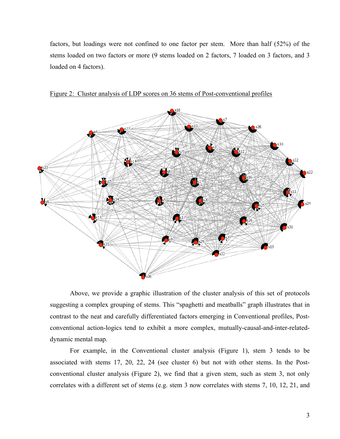factors, but loadings were not confined to one factor per stem. More than half (52%) of the stems loaded on two factors or more (9 stems loaded on 2 factors, 7 loaded on 3 factors, and 3 loaded on 4 factors).



Figure 2: Cluster analysis of LDP scores on 36 stems of Post-conventional profiles

Above, we provide a graphic illustration of the cluster analysis of this set of protocols suggesting a complex grouping of stems. This "spaghetti and meatballs" graph illustrates that in contrast to the neat and carefully differentiated factors emerging in Conventional profiles, Postconventional action-logics tend to exhibit a more complex, mutually-causal-and-inter-relateddynamic mental map.

For example, in the Conventional cluster analysis (Figure 1), stem 3 tends to be associated with stems 17, 20, 22, 24 (see cluster 6) but not with other stems. In the Postconventional cluster analysis (Figure 2), we find that a given stem, such as stem 3, not only correlates with a different set of stems (e.g. stem 3 now correlates with stems 7, 10, 12, 21, and